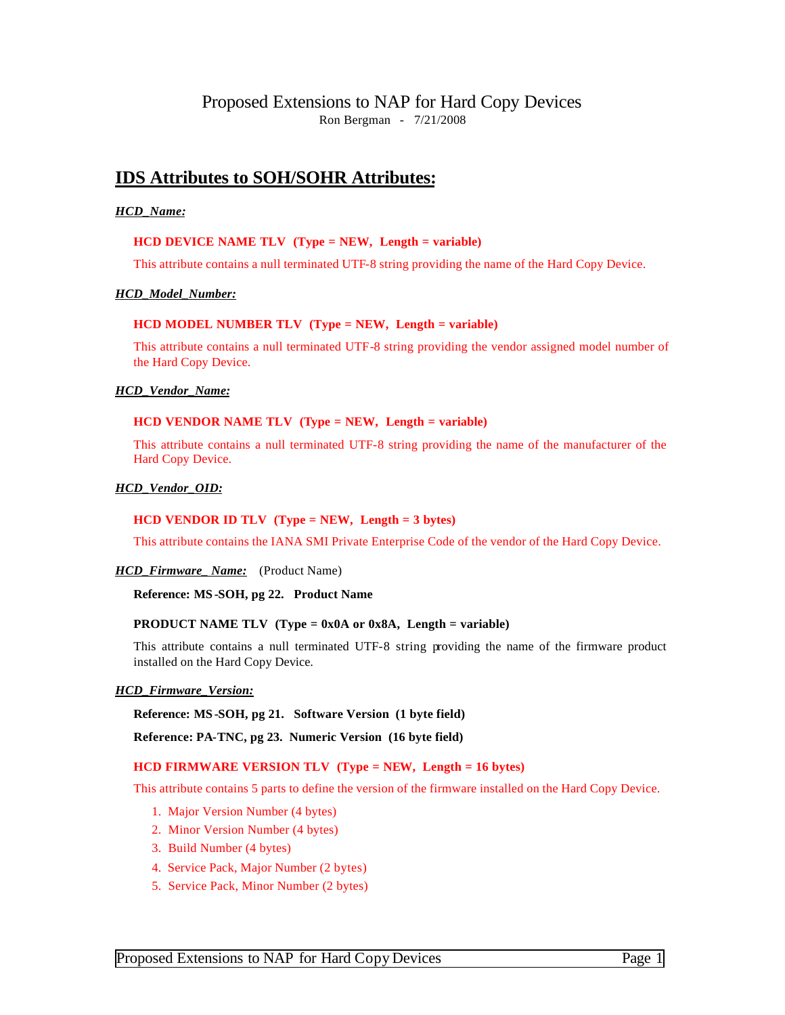# Proposed Extensions to NAP for Hard Copy Devices Ron Bergman - 7/21/2008

# **IDS Attributes to SOH/SOHR Attributes:**

## *HCD\_Name:*

## **HCD DEVICE NAME TLV (Type = NEW, Length = variable)**

This attribute contains a null terminated UTF-8 string providing the name of the Hard Copy Device.

#### *HCD\_Model\_Number:*

## **HCD MODEL NUMBER TLV (Type = NEW, Length = variable)**

This attribute contains a null terminated UTF-8 string providing the vendor assigned model number of the Hard Copy Device.

#### *HCD\_Vendor\_Name:*

## **HCD VENDOR NAME TLV (Type = NEW, Length = variable)**

This attribute contains a null terminated UTF-8 string providing the name of the manufacturer of the Hard Copy Device.

#### *HCD\_Vendor\_OID:*

#### **HCD VENDOR ID TLV (Type = NEW, Length = 3 bytes)**

This attribute contains the IANA SMI Private Enterprise Code of the vendor of the Hard Copy Device.

*HCD\_Firmware\_ Name:* (Product Name)

**Reference: MS -SOH, pg 22. Product Name**

#### **PRODUCT NAME TLV (Type = 0x0A or 0x8A, Length = variable)**

This attribute contains a null terminated UTF-8 string providing the name of the firmware product installed on the Hard Copy Device.

#### *HCD\_Firmware\_Version:*

#### **Reference: MS -SOH, pg 21. Software Version (1 byte field)**

**Reference: PA-TNC, pg 23. Numeric Version (16 byte field)**

#### **HCD FIRMWARE VERSION TLV (Type = NEW, Length = 16 bytes)**

This attribute contains 5 parts to define the version of the firmware installed on the Hard Copy Device.

- 1. Major Version Number (4 bytes)
- 2. Minor Version Number (4 bytes)
- 3. Build Number (4 bytes)
- 4. Service Pack, Major Number (2 bytes)
- 5. Service Pack, Minor Number (2 bytes)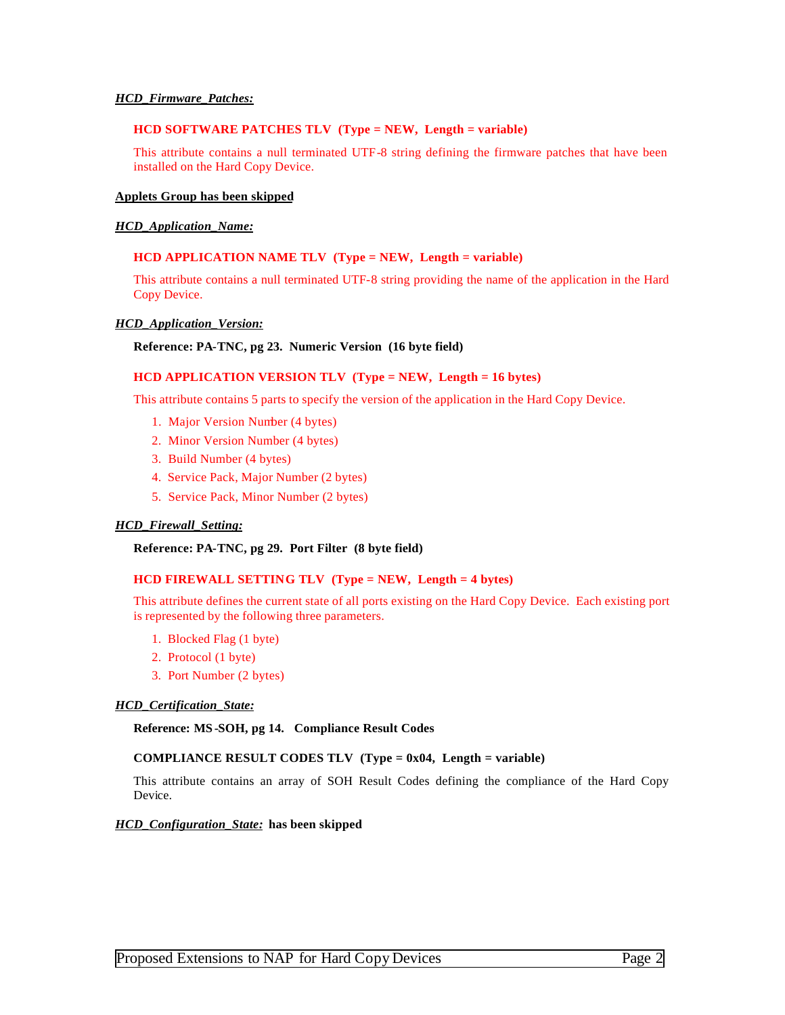## *HCD\_Firmware\_Patches:*

#### **HCD SOFTWARE PATCHES TLV (Type = NEW, Length = variable)**

This attribute contains a null terminated UTF-8 string defining the firmware patches that have been installed on the Hard Copy Device.

## **Applets Group has been skipped**

#### *HCD\_Application\_Name:*

## **HCD APPLICATION NAME TLV (Type = NEW, Length = variable)**

This attribute contains a null terminated UTF-8 string providing the name of the application in the Hard Copy Device.

## *HCD\_Application\_Version:*

#### **Reference: PA-TNC, pg 23. Numeric Version (16 byte field)**

## **HCD APPLICATION VERSION TLV (Type = NEW, Length = 16 bytes)**

This attribute contains 5 parts to specify the version of the application in the Hard Copy Device.

- 1. Major Version Number (4 bytes)
- 2. Minor Version Number (4 bytes)
- 3. Build Number (4 bytes)
- 4. Service Pack, Major Number (2 bytes)
- 5. Service Pack, Minor Number (2 bytes)

#### *HCD\_Firewall\_Setting:*

**Reference: PA-TNC, pg 29. Port Filter (8 byte field)**

## **HCD FIREWALL SETTING TLV (Type = NEW, Length = 4 bytes)**

This attribute defines the current state of all ports existing on the Hard Copy Device. Each existing port is represented by the following three parameters.

- 1. Blocked Flag (1 byte)
- 2. Protocol (1 byte)
- 3. Port Number (2 bytes)

#### *HCD\_Certification\_State:*

**Reference: MS -SOH, pg 14. Compliance Result Codes**

#### **COMPLIANCE RESULT CODES TLV (Type = 0x04, Length = variable)**

This attribute contains an array of SOH Result Codes defining the compliance of the Hard Copy Device.

#### *HCD\_Configuration\_State:* **has been skipped**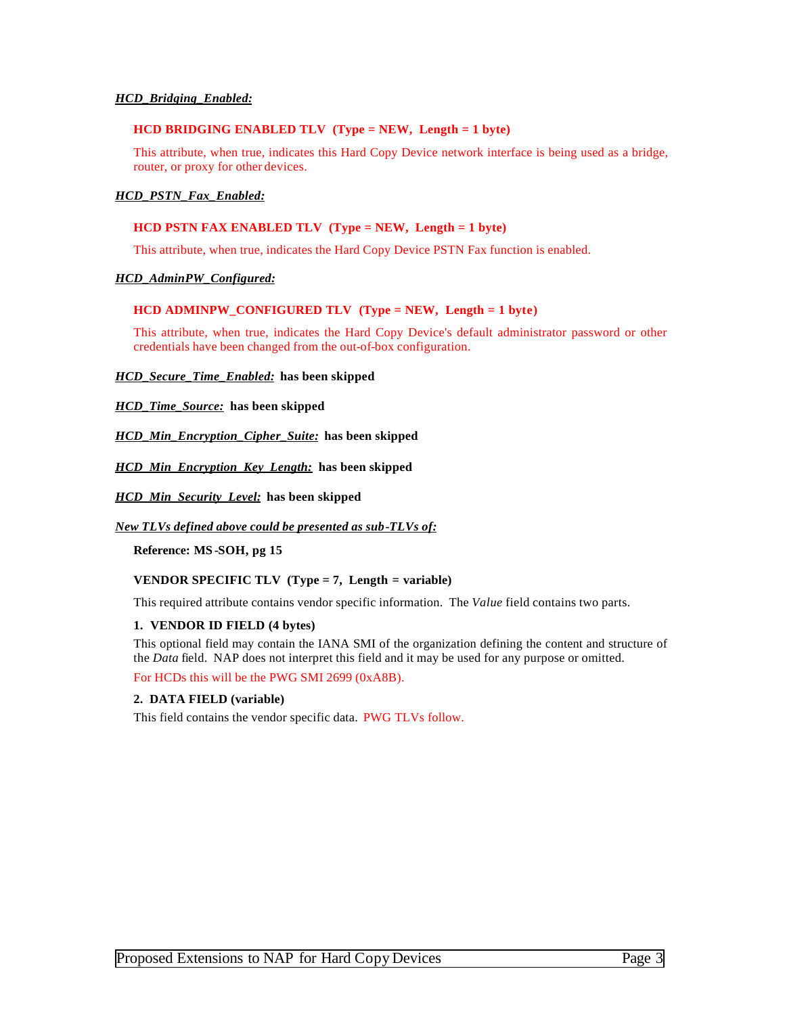## *HCD\_Bridging\_Enabled:*

#### **HCD BRIDGING ENABLED TLV (Type = NEW, Length = 1 byte)**

This attribute, when true, indicates this Hard Copy Device network interface is being used as a bridge, router, or proxy for other devices.

## *HCD\_PSTN\_Fax\_Enabled:*

## **HCD PSTN FAX ENABLED TLV (Type = NEW, Length = 1 byte)**

This attribute, when true, indicates the Hard Copy Device PSTN Fax function is enabled.

## *HCD\_AdminPW\_Configured:*

## **HCD ADMINPW\_CONFIGURED TLV (Type = NEW, Length = 1 byte)**

This attribute, when true, indicates the Hard Copy Device's default administrator password or other credentials have been changed from the out-of-box configuration.

#### *HCD\_Secure\_Time\_Enabled:* **has been skipped**

## *HCD\_Time\_Source:* **has been skipped**

*HCD\_Min\_Encryption\_Cipher\_Suite:* **has been skipped**

*HCD\_Min\_Encryption\_Key\_Length:* **has been skipped**

*HCD\_Min\_Security\_Level:* **has been skipped**

#### *New TLVs defined above could be presented as sub-TLVs of:*

**Reference: MS -SOH, pg 15**

## **VENDOR SPECIFIC TLV (Type = 7, Length = variable)**

This required attribute contains vendor specific information. The *Value* field contains two parts.

#### **1. VENDOR ID FIELD (4 bytes)**

This optional field may contain the IANA SMI of the organization defining the content and structure of the *Data* field. NAP does not interpret this field and it may be used for any purpose or omitted.

For HCDs this will be the PWG SMI 2699 (0xA8B).

## **2. DATA FIELD (variable)**

This field contains the vendor specific data. PWG TLVs follow.